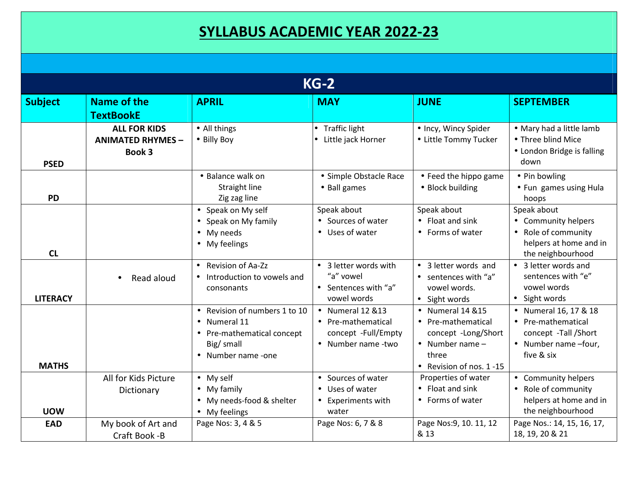## **SYLLABUS ACADEMIC YEAR 2022-23**

| $KG-2$          |                                                                  |                                                                                                               |                                                                                              |                                                                                                                                |                                                                                                           |  |  |  |
|-----------------|------------------------------------------------------------------|---------------------------------------------------------------------------------------------------------------|----------------------------------------------------------------------------------------------|--------------------------------------------------------------------------------------------------------------------------------|-----------------------------------------------------------------------------------------------------------|--|--|--|
| <b>Subject</b>  | Name of the<br><b>TextBookE</b>                                  | <b>APRIL</b>                                                                                                  | <b>MAY</b>                                                                                   | <b>JUNE</b>                                                                                                                    | <b>SEPTEMBER</b>                                                                                          |  |  |  |
| <b>PSED</b>     | <b>ALL FOR KIDS</b><br><b>ANIMATED RHYMES -</b><br><b>Book 3</b> | • All things<br>• Billy Boy                                                                                   | • Traffic light<br>Little jack Horner                                                        | • Incy, Wincy Spider<br>• Little Tommy Tucker                                                                                  | • Mary had a little lamb<br>• Three blind Mice<br>• London Bridge is falling<br>down                      |  |  |  |
| <b>PD</b>       |                                                                  | • Balance walk on<br>Straight line<br>Zig zag line                                                            | • Simple Obstacle Race<br>• Ball games                                                       | • Feed the hippo game<br>• Block building                                                                                      | • Pin bowling<br>• Fun games using Hula<br>hoops                                                          |  |  |  |
| CL              |                                                                  | • Speak on My self<br>• Speak on My family<br>• My needs<br>• My feelings                                     | Speak about<br>• Sources of water<br>• Uses of water                                         | Speak about<br>• Float and sink<br>• Forms of water                                                                            | Speak about<br>• Community helpers<br>• Role of community<br>helpers at home and in<br>the neighbourhood  |  |  |  |
| <b>LITERACY</b> | Read aloud<br>$\bullet$                                          | • Revision of Aa-Zz<br>• Introduction to vowels and<br>consonants                                             | 3 letter words with<br>$\bullet$<br>"a" vowel<br>• Sentences with "a"<br>vowel words         | • 3 letter words and<br>• sentences with "a"<br>vowel words.<br>• Sight words                                                  | 3 letter words and<br>$\bullet$<br>sentences with "e"<br>vowel words<br>• Sight words                     |  |  |  |
| <b>MATHS</b>    |                                                                  | • Revision of numbers 1 to 10<br>Numeral 11<br>• Pre-mathematical concept<br>Big/ small<br>• Number name -one | $\bullet$ Numeral 12 & 13<br>• Pre-mathematical<br>concept -Full/Empty<br>• Number name -two | • Numeral 14 & 15<br>• Pre-mathematical<br>concept -Long/Short<br>$\bullet$ Number name -<br>three<br>• Revision of nos. 1 -15 | • Numeral 16, 17 & 18<br>• Pre-mathematical<br>concept -Tall /Short<br>• Number name -four,<br>five & six |  |  |  |
| <b>UOW</b>      | All for Kids Picture<br>Dictionary                               | $\bullet$ My self<br>• My family<br>• My needs-food & shelter<br>• My feelings                                | • Sources of water<br>• Uses of water<br>Experiments with<br>water                           | Properties of water<br>• Float and sink<br>• Forms of water                                                                    | • Community helpers<br>• Role of community<br>helpers at home and in<br>the neighbourhood                 |  |  |  |
| <b>EAD</b>      | My book of Art and<br>Craft Book -B                              | Page Nos: 3, 4 & 5                                                                                            | Page Nos: 6, 7 & 8                                                                           | Page Nos: 9, 10. 11, 12<br>& 13                                                                                                | Page Nos.: 14, 15, 16, 17,<br>18, 19, 20 & 21                                                             |  |  |  |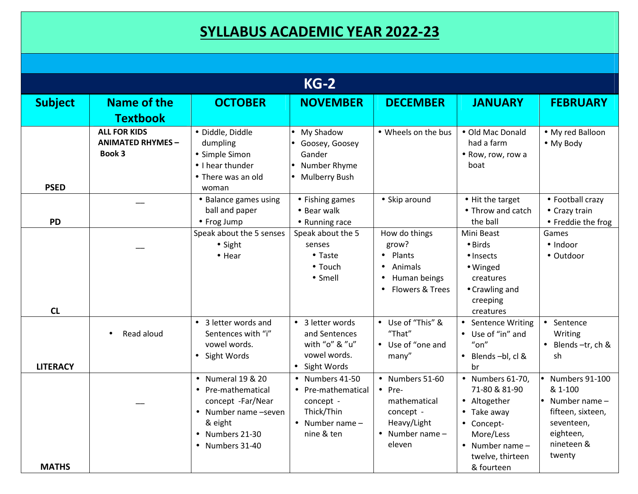## **SYLLABUS ACADEMIC YEAR 2022-23**

| $KG-2$          |                                                           |                                                                                                                                               |                                                                                                           |                                                                                                                    |                                                                                                                                                                             |                                                                                                                                          |  |
|-----------------|-----------------------------------------------------------|-----------------------------------------------------------------------------------------------------------------------------------------------|-----------------------------------------------------------------------------------------------------------|--------------------------------------------------------------------------------------------------------------------|-----------------------------------------------------------------------------------------------------------------------------------------------------------------------------|------------------------------------------------------------------------------------------------------------------------------------------|--|
| <b>Subject</b>  | Name of the                                               | <b>OCTOBER</b>                                                                                                                                | <b>NOVEMBER</b>                                                                                           | <b>DECEMBER</b>                                                                                                    | <b>JANUARY</b>                                                                                                                                                              | <b>FEBRUARY</b>                                                                                                                          |  |
|                 | <b>Textbook</b>                                           |                                                                                                                                               |                                                                                                           |                                                                                                                    |                                                                                                                                                                             |                                                                                                                                          |  |
| <b>PSED</b>     | <b>ALL FOR KIDS</b><br><b>ANIMATED RHYMES -</b><br>Book 3 | · Diddle, Diddle<br>dumpling<br>• Simple Simon<br>$\bullet$ I hear thunder<br>• There was an old<br>woman                                     | My Shadow<br>Goosey, Goosey<br>Gander<br>Number Rhyme<br><b>Mulberry Bush</b>                             | • Wheels on the bus                                                                                                | • Old Mac Donald<br>had a farm<br>• Row, row, row a<br>boat                                                                                                                 | • My red Balloon<br>• My Body                                                                                                            |  |
| <b>PD</b>       |                                                           | • Balance games using<br>ball and paper<br>• Frog Jump                                                                                        | • Fishing games<br>• Bear walk<br>• Running race                                                          | • Skip around                                                                                                      | • Hit the target<br>• Throw and catch<br>the ball                                                                                                                           | • Football crazy<br>• Crazy train<br>• Freddie the frog                                                                                  |  |
| CL              |                                                           | Speak about the 5 senses<br>$\bullet$ Sight<br>$\bullet$ Hear                                                                                 | Speak about the 5<br>senses<br>$\bullet$ Taste<br>$\bullet$ Touch<br>• Smell                              | How do things<br>grow?<br>Plants<br>Animals<br>Human beings<br>Flowers & Trees                                     | Mini Beast<br>$\bullet$ Birds<br>$\bullet$ Insects<br>· Winged<br>creatures<br>• Crawling and<br>creeping<br>creatures                                                      | Games<br>· Indoor<br>• Outdoor                                                                                                           |  |
| <b>LITERACY</b> | Read aloud<br>$\bullet$                                   | • 3 letter words and<br>Sentences with "i"<br>vowel words.<br>• Sight Words                                                                   | • 3 letter words<br>and Sentences<br>with "o" & "u"<br>vowel words.<br>• Sight Words                      | • Use of "This" &<br>"That"<br>• Use of "one and<br>many"                                                          | • Sentence Writing<br>• Use of "in" and<br>$"$ on"<br>$\bullet$<br>Blends-bl, cl &<br>br                                                                                    | • Sentence<br>Writing<br>Blends-tr, ch &<br>$\bullet$<br>sh                                                                              |  |
| <b>MATHS</b>    |                                                           | • Numeral 19 & 20<br>• Pre-mathematical<br>concept -Far/Near<br>• Number name -seven<br>& eight<br>$\bullet$ Numbers 21-30<br>• Numbers 31-40 | • Numbers 41-50<br>• Pre-mathematical<br>concept -<br>Thick/Thin<br>$\bullet$ Number name -<br>nine & ten | • Numbers 51-60<br>$\bullet$ Pre-<br>mathematical<br>concept -<br>Heavy/Light<br>$\bullet$ Number name -<br>eleven | $\bullet$ Numbers 61-70,<br>71-80 & 81-90<br>• Altogether<br>Take away<br>$\bullet$<br>• Concept-<br>More/Less<br>$\bullet$ Number name -<br>twelve, thirteen<br>& fourteen | $\bullet$ Numbers 91-100<br>& 1-100<br>$\bullet$ Number name $-$<br>fifteen, sixteen,<br>seventeen,<br>eighteen,<br>nineteen &<br>twenty |  |